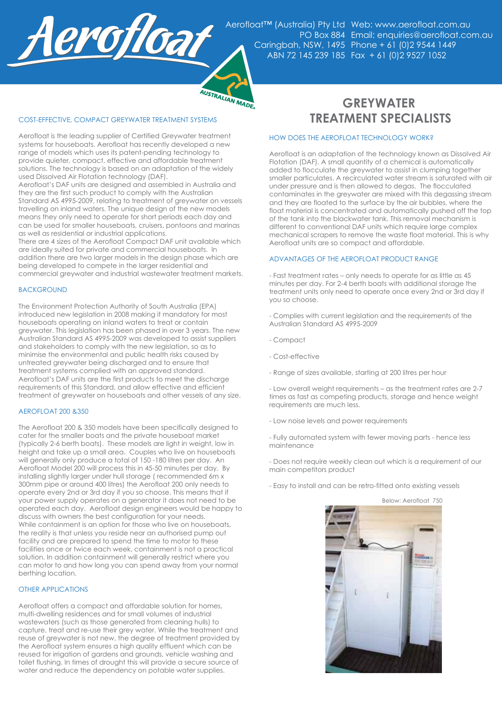

Aerofloat™ (Australia) Pty Ltd Web: www.aerofloat.com.au PO Box 884 Email: enquiries@aerofloat.com.au Caringbah, NSW, 1495 Phone + 61 (0)2 9544 1449 ABN 72 145 239 185 Fax + 61 (0)2 9527 1052

# AUSTRALIAN MADE

### COST-EFFECTIVE, COMPACT GREYWATER TREATMENT SYSTEMS **TREATMENT SPECIALISTS**

Aerofloat is the leading supplier of Certified Greywater treatment systems for houseboats. Aerofloat has recently developed a new range of models which uses its patent-pending technology to provide quieter, compact, effective and affordable treatment solutions. The technology is based on an adaptation of the widely used Dissolved Air Flotation technology (DAF).

Aerofloat's DAF units are designed and assembled in Australia and they are the first such product to comply with the Australian Standard AS 4995-2009, relating to treatment of greywater on vessels travelling on inland waters. The unique design of the new models means they only need to operate for short periods each day and can be used for smaller houseboats, cruisers, pontoons and marinas as well as residential or industrial applications.

There are 4 sizes of the Aerofloat Compact DAF unit available which are ideally suited for private and commercial houseboats. In addition there are two larger models in the design phase which are being developed to compete in the larger residential and commercial greywater and industrial wastewater treatment markets.

### **BACKGROUND**

The Environment Protection Authority of South Australia (EPA) introduced new legislation in 2008 making it mandatory for most houseboats operating on inland waters to treat or contain greywater. This legislation has been phased in over 3 years. The new Australian Standard AS 4995-2009 was developed to assist suppliers and stakeholders to comply with the new legislation, so as to minimise the environmental and public health risks caused by untreated greywater being discharged and to ensure that treatment systems complied with an approved standard. Aerofloat's DAF units are the first products to meet the discharge requirements of this Standard, and allow effective and efficient treatment of greywater on houseboats and other vessels of any size.

### AEROFLOAT 200 &350

The Aerofloat 200 & 350 models have been specifically designed to cater for the smaller boats and the private houseboat market (typically 2-6 berth boats). These models are light in weight, low in height and take up a small area. Couples who live on houseboats will generally only produce a total of 150 -180 litres per day. An Aerofloat Model 200 will process this in 45-50 minutes per day. By installing slightly larger under hull storage ( recommended 6m x 300mm pipe or around 400 litres) the Aerofloat 200 only needs to operate every 2nd or 3rd day if you so choose. This means that if your power supply operates on a generator it does not need to be operated each day. Aerofloat design engineers would be happy to discuss with owners the best configuration for your needs. While containment is an option for those who live on houseboats, the reality is that unless you reside near an authorised pump out facility and are prepared to spend the time to motor to these facilities once or twice each week, containment is not a practical solution. In addition containment will generally restrict where you can motor to and how long you can spend away from your normal berthing location.

### OTHER APPLICATIONS

Aerofloat offers a compact and affordable solution for homes, multi-dwelling residences and for small volumes of industrial wastewaters (such as those generated from cleaning hulls) to capture, treat and re-use their grey water. While the treatment and reuse of greywater is not new, the degree of treatment provided by the Aerofloat system ensures a high quality effluent which can be reused for irrigation of gardens and grounds, vehicle washing and toilet flushing. In times of drought this will provide a secure source of water and reduce the dependency on potable water supplies.

# **GREYWATER**

### HOW DOES THE AEROFLOAT TECHNOLOGY WORK?

Aerofloat is an adaptation of the technology known as Dissolved Air Flotation (DAF). A small quantity of a chemical is automatically added to flocculate the greywater to assist in clumping together smaller particulates. A recirculated water stream is saturated with air under pressure and is then allowed to degas. The flocculated contaminates in the greywater are mixed with this degassing stream and they are floated to the surface by the air bubbles, where the float material is concentrated and automatically pushed off the top of the tank into the blackwater tank. This removal mechanism is different to conventional DAF units which require large complex mechanical scrapers to remove the waste float material. This is why Aerofloat units are so compact and affordable.

### ADVANTAGES OF THE AEROFLOAT PRODUCT RANGE

- Fast treatment rates – only needs to operate for as little as 45 minutes per day. For 2-4 berth boats with additional storage the treatment units only need to operate once every 2nd or 3rd day if you so choose.

- Complies with current legislation and the requirements of the Australian Standard AS 4995-2009

- Compact
- Cost-effective
- Range of sizes available, starting at 200 litres per hour

- Low overall weight requirements – as the treatment rates are 2-7 times as fast as competing products, storage and hence weight requirements are much less.

- Low noise levels and power requirements
- Fully automated system with fewer moving parts hence less maintenance

- Does not require weekly clean out which is a requirement of our main competitors product

- Easy to install and can be retro-fitted onto existing vessels